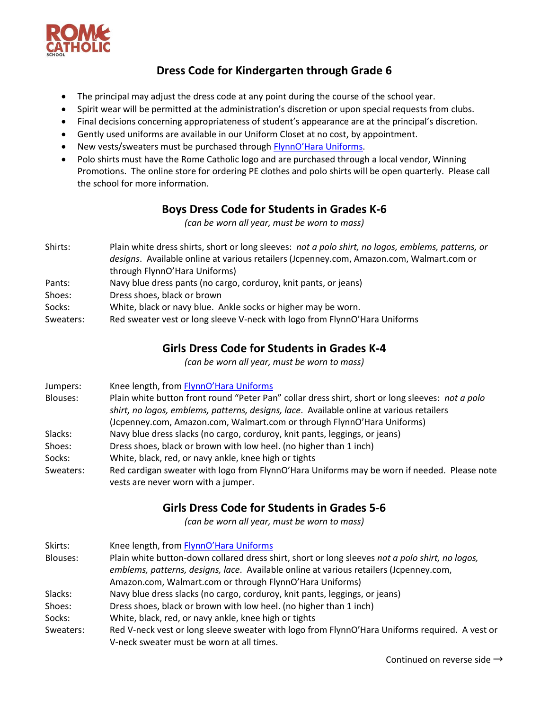

## **Dress Code for Kindergarten through Grade 6**

- The principal may adjust the dress code at any point during the course of the school year.
- Spirit wear will be permitted at the administration's discretion or upon special requests from clubs.
- Final decisions concerning appropriateness of student's appearance are at the principal's discretion.
- Gently used uniforms are available in our Uniform Closet at no cost, by appointment.
- New vests/sweaters must be purchased through **[FlynnO'Hara Uniform](https://flynnohara.com/shop/rome-catholic-school-ny050/)s**.
- Polo shirts must have the Rome Catholic logo and are purchased through a local vendor, Winning Promotions. The online store for ordering PE clothes and polo shirts will be open quarterly. Please call the school for more information.

#### **Boys Dress Code for Students in Grades K-6**

*(can be worn all year, must be worn to mass)*

- Shirts: Plain white dress shirts, short or long sleeves: *not a polo shirt, no logos, emblems, patterns, or designs*. Available online at various retailers (Jcpenney.com, Amazon.com, Walmart.com or through FlynnO'Hara Uniforms)
- Pants: Navy blue dress pants (no cargo, corduroy, knit pants, or jeans)
- Shoes: Dress shoes, black or brown
- Socks: White, black or navy blue. Ankle socks or higher may be worn.
- Sweaters: Red sweater vest or long sleeve V-neck with logo from FlynnO'Hara Uniforms

#### **Girls Dress Code for Students in Grades K-4**

*(can be worn all year, must be worn to mass)*

- Jumpers: Knee length, from [FlynnO'Hara Uniforms](https://flynnohara.com/shop/rome-catholic-school-ny050/)
- Blouses: Plain white button front round "Peter Pan" collar dress shirt, short or long sleeves: *not a polo shirt, no logos, emblems, patterns, designs, lace*. Available online at various retailers (Jcpenney.com, Amazon.com, Walmart.com or through FlynnO'Hara Uniforms)
- Slacks: Navy blue dress slacks (no cargo, corduroy, knit pants, leggings, or jeans)
- Shoes: Dress shoes, black or brown with low heel. (no higher than 1 inch)
- Socks: White, black, red, or navy ankle, knee high or tights
- Sweaters: Red cardigan sweater with logo from FlynnO'Hara Uniforms may be worn if needed. Please note vests are never worn with a jumper.

## **Girls Dress Code for Students in Grades 5-6**

*(can be worn all year, must be worn to mass)*

Skirts: Knee length, from [FlynnO'Hara Uniforms](https://flynnohara.com/shop/rome-catholic-school-ny050/) Blouses: Plain white button-down collared dress shirt, short or long sleeves *not a polo shirt, no logos, emblems, patterns, designs, lace*. Available online at various retailers (Jcpenney.com, Amazon.com, Walmart.com or through FlynnO'Hara Uniforms) Slacks: Navy blue dress slacks (no cargo, corduroy, knit pants, leggings, or jeans) Shoes: Dress shoes, black or brown with low heel. (no higher than 1 inch) Socks: White, black, red, or navy ankle, knee high or tights Sweaters: Red V-neck vest or long sleeve sweater with logo from FlynnO'Hara Uniforms required. A vest or V-neck sweater must be worn at all times.